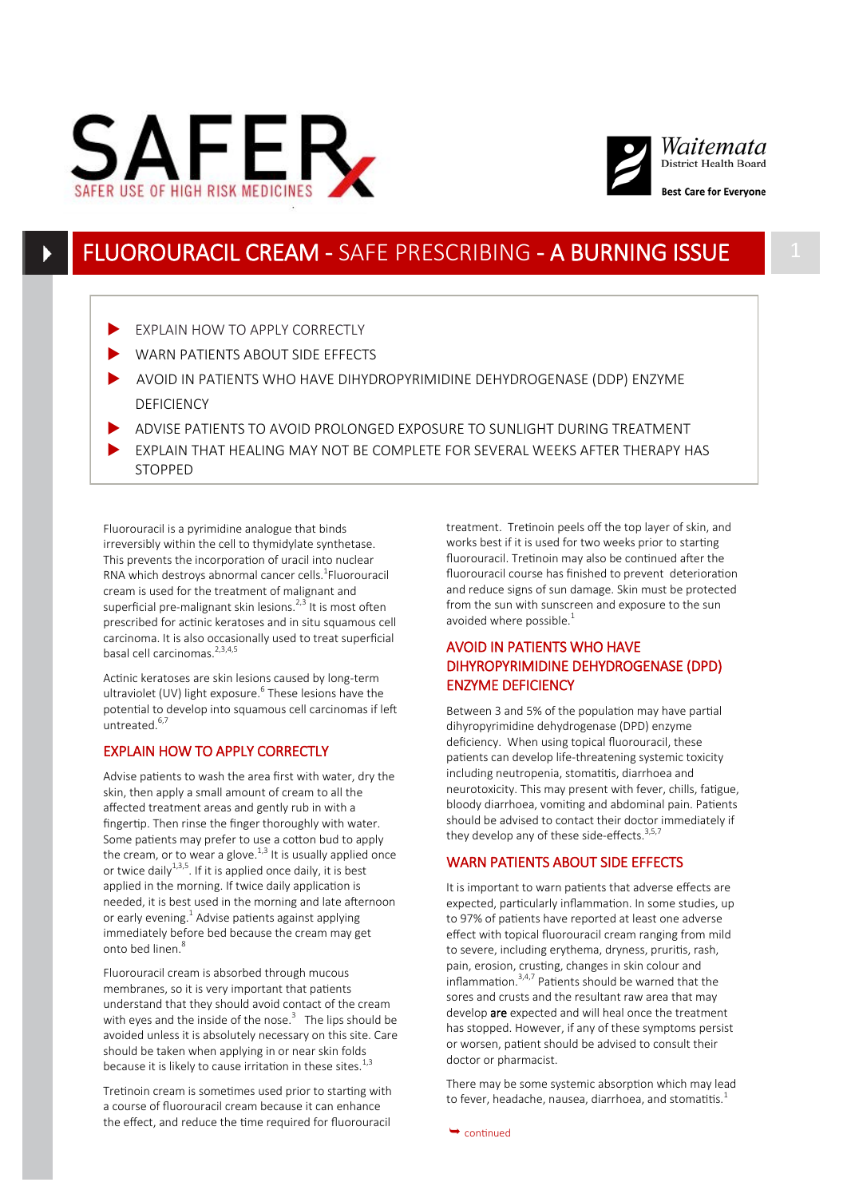



## FLUOROURACIL CREAM - SAFE PRESCRIBING - A BURNING ISSUE

- EXPLAIN HOW TO APPLY CORRECTLY
- WARN PATIENTS ABOUT SIDE EFFECTS
- AVOID IN PATIENTS WHO HAVE DIHYDROPYRIMIDINE DEHYDROGENASE (DDP) ENZYME **DEFICIENCY**
- ADVISE PATIENTS TO AVOID PROLONGED EXPOSURE TO SUNLIGHT DURING TREATMENT
- EXPLAIN THAT HEALING MAY NOT BE COMPLETE FOR SEVERAL WEEKS AFTER THERAPY HAS **STOPPED**

Fluorouracil is a pyrimidine analogue that binds irreversibly within the cell to thymidylate synthetase. This prevents the incorporation of uracil into nuclear RNA which destroys abnormal cancer cells.<sup>1</sup>Fluorouracil cream is used for the treatment of malignant and superficial pre-malignant skin lesions. $2^{2,3}$  It is most often prescribed for actinic keratoses and in situ squamous cell carcinoma. It is also occasionally used to treat superficial basal cell carcinomas. $2,3,4,5$ 

Actinic keratoses are skin lesions caused by long-term ultraviolet (UV) light exposure.<sup>6</sup> These lesions have the potential to develop into squamous cell carcinomas if left untreated.<sup>6,7</sup>

### EXPLAIN HOW TO APPLY CORRECTLY

Advise patients to wash the area first with water, dry the skin, then apply a small amount of cream to all the affected treatment areas and gently rub in with a fingertip. Then rinse the finger thoroughly with water. Some patients may prefer to use a cotton bud to apply the cream, or to wear a glove.<sup>1,3</sup> It is usually applied once or twice daily<sup>1,3,5</sup>. If it is applied once daily, it is best applied in the morning. If twice daily application is needed, it is best used in the morning and late afternoon or early evening.<sup>1</sup> Advise patients against applying immediately before bed because the cream may get onto bed linen $8$ 

Fluorouracil cream is absorbed through mucous membranes, so it is very important that patients understand that they should avoid contact of the cream with eyes and the inside of the nose. $3$  The lips should be avoided unless it is absolutely necessary on this site. Care should be taken when applying in or near skin folds because it is likely to cause irritation in these sites.<sup>1,3</sup>

Tretinoin cream is sometimes used prior to starting with a course of fluorouracil cream because it can enhance the effect, and reduce the time required for fluorouracil

treatment. Tretinoin peels off the top layer of skin, and works best if it is used for two weeks prior to starting fluorouracil. Tretinoin may also be continued after the fluorouracil course has finished to prevent deterioration and reduce signs of sun damage. Skin must be protected from the sun with sunscreen and exposure to the sun avoided where possible. $<sup>1</sup>$ </sup>

## AVOID IN PATIENTS WHO HAVE DIHYROPYRIMIDINE DEHYDROGENASE (DPD) ENZYME DEFICIENCY

Between 3 and 5% of the population may have partial dihyropyrimidine dehydrogenase (DPD) enzyme deficiency. When using topical fluorouracil, these patients can develop life-threatening systemic toxicity including neutropenia, stomatitis, diarrhoea and neurotoxicity. This may present with fever, chills, fatigue, bloody diarrhoea, vomiting and abdominal pain. Patients should be advised to contact their doctor immediately if they develop any of these side-effects.  $3,5,7$ 

## WARN PATIENTS ABOUT SIDE EFFECTS

It is important to warn patients that adverse effects are expected, particularly inflammation. In some studies, up to 97% of patients have reported at least one adverse effect with topical fluorouracil cream ranging from mild to severe, including erythema, dryness, pruritis, rash, pain, erosion, crusting, changes in skin colour and  $\lim_{n \to \infty}$  inflammation.<sup>3,4,7</sup> Patients should be warned that the sores and crusts and the resultant raw area that may develop are expected and will heal once the treatment has stopped. However, if any of these symptoms persist or worsen, patient should be advised to consult their doctor or pharmacist.

There may be some systemic absorption which may lead to fever, headache, nausea, diarrhoea, and stomatitis.<sup>1</sup>

 $\rightarrow$  continued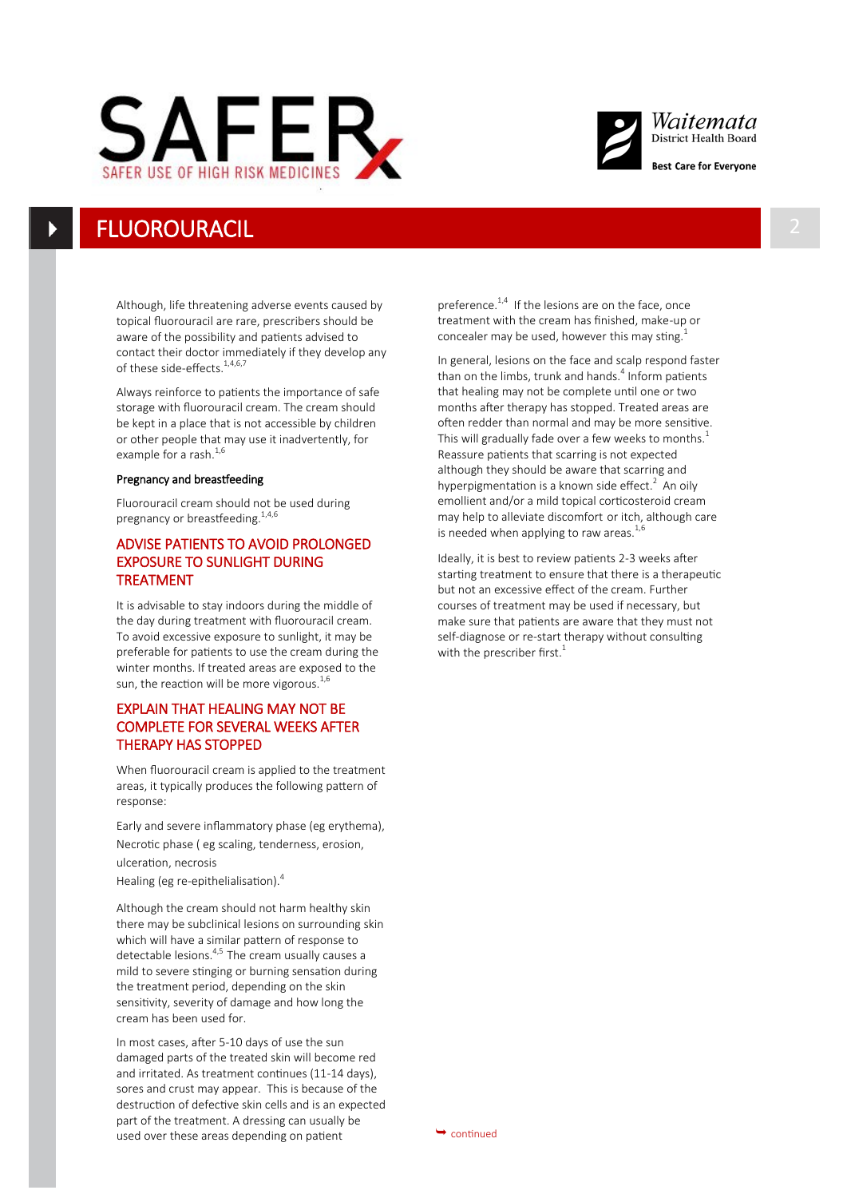



## **FLUOROURACIL**

Although, life threatening adverse events caused by topical fluorouracil are rare, prescribers should be aware of the possibility and patients advised to contact their doctor immediately if they develop any of these side-effects.<sup>1,4,6,7</sup>

Always reinforce to patients the importance of safe storage with fluorouracil cream. The cream should be kept in a place that is not accessible by children or other people that may use it inadvertently, for example for a rash.<sup>1,6</sup>

#### Pregnancy and breastfeeding

Fluorouracil cream should not be used during pregnancy or breastfeeding. $^{1,4,6}$ 

## ADVISE PATIENTS TO AVOID PROLONGED EXPOSURE TO SUNLIGHT DURING TREATMENT

It is advisable to stay indoors during the middle of the day during treatment with fluorouracil cream. To avoid excessive exposure to sunlight, it may be preferable for patients to use the cream during the winter months. If treated areas are exposed to the sun, the reaction will be more vigorous. $^{1,6}$ 

## EXPLAIN THAT HEALING MAY NOT BE COMPLETE FOR SEVERAL WEEKS AFTER THERAPY HAS STOPPED

When fluorouracil cream is applied to the treatment areas, it typically produces the following pattern of response:

Early and severe inflammatory phase (eg erythema), Necrotic phase ( eg scaling, tenderness, erosion, ulceration, necrosis Healing (eg re-epithelialisation).<sup>4</sup>

Although the cream should not harm healthy skin there may be subclinical lesions on surrounding skin which will have a similar pattern of response to detectable lesions.<sup>4,5</sup> The cream usually causes a mild to severe stinging or burning sensation during the treatment period, depending on the skin sensitivity, severity of damage and how long the cream has been used for.

In most cases, after 5-10 days of use the sun damaged parts of the treated skin will become red and irritated. As treatment continues (11-14 days), sores and crust may appear. This is because of the destruction of defective skin cells and is an expected part of the treatment. A dressing can usually be used over these areas depending on patient  $\rightarrow$  continued

preference.<sup>1,4</sup> If the lesions are on the face, once treatment with the cream has finished, make-up or concealer may be used, however this may sting.<sup>1</sup>

In general, lesions on the face and scalp respond faster than on the limbs, trunk and hands.<sup>4</sup> Inform patients that healing may not be complete until one or two months after therapy has stopped. Treated areas are often redder than normal and may be more sensitive. This will gradually fade over a few weeks to months. $<sup>1</sup>$ </sup> Reassure patients that scarring is not expected although they should be aware that scarring and hyperpigmentation is a known side effect.<sup>2</sup> An oily emollient and/or a mild topical corticosteroid cream may help to alleviate discomfort or itch, although care is needed when applying to raw areas. $^{1,6}$ 

Ideally, it is best to review patients 2-3 weeks after starting treatment to ensure that there is a therapeutic but not an excessive effect of the cream. Further courses of treatment may be used if necessary, but make sure that patients are aware that they must not self-diagnose or re-start therapy without consulting with the prescriber first. $1$